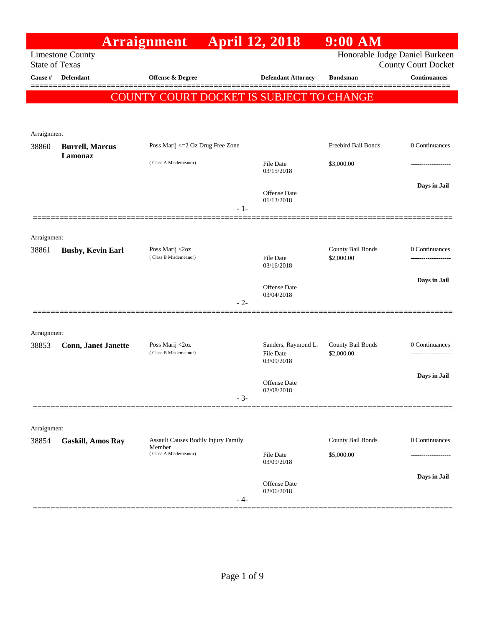|                       |                            | Arraignment                                                            | <b>April 12, 2018</b>             | $9:00$ AM                       |                                       |
|-----------------------|----------------------------|------------------------------------------------------------------------|-----------------------------------|---------------------------------|---------------------------------------|
| <b>State of Texas</b> | <b>Limestone County</b>    |                                                                        |                                   | Honorable Judge Daniel Burkeen  | <b>County Court Docket</b>            |
| Cause #               | Defendant                  | <b>Offense &amp; Degree</b>                                            | <b>Defendant Attorney</b>         | <b>Bondsman</b>                 | <b>Continuances</b>                   |
|                       |                            | COUNTY COURT DOCKET IS SUBJECT TO CHANGE                               |                                   |                                 |                                       |
|                       |                            |                                                                        |                                   |                                 |                                       |
| Arraignment           |                            |                                                                        |                                   |                                 |                                       |
| 38860                 | <b>Burrell, Marcus</b>     | Poss Marij <= 2 Oz Drug Free Zone                                      |                                   | Freebird Bail Bonds             | 0 Continuances                        |
|                       | Lamonaz                    | (Class A Misdemeanor)                                                  | <b>File Date</b><br>03/15/2018    | \$3,000.00                      |                                       |
|                       |                            |                                                                        | Offense Date<br>01/13/2018        |                                 | Days in Jail                          |
|                       |                            | $-1-$                                                                  |                                   |                                 |                                       |
| Arraignment           |                            |                                                                        |                                   |                                 |                                       |
| 38861                 | <b>Busby, Kevin Earl</b>   | Poss Marij <2oz<br>(Class B Misdemeanor)                               | <b>File Date</b>                  | County Bail Bonds<br>\$2,000.00 | 0 Continuances<br>------------------- |
|                       |                            |                                                                        | 03/16/2018                        |                                 |                                       |
|                       |                            |                                                                        | Offense Date                      |                                 | Days in Jail                          |
|                       |                            | $-2-$                                                                  | 03/04/2018                        |                                 |                                       |
|                       |                            |                                                                        |                                   |                                 |                                       |
| Arraignment<br>38853  | <b>Conn, Janet Janette</b> | Poss Marij <2oz                                                        | Sanders, Raymond L.               | County Bail Bonds               | 0 Continuances                        |
|                       |                            | (Class B Misdemeanor)                                                  | <b>File Date</b><br>03/09/2018    | \$2,000.00                      |                                       |
|                       |                            |                                                                        | Offense Date                      |                                 | Days in Jail                          |
|                       |                            | $-3-$                                                                  | 02/08/2018                        |                                 |                                       |
|                       |                            |                                                                        |                                   |                                 |                                       |
| Arraignment           |                            |                                                                        |                                   |                                 | 0 Continuances                        |
| 38854                 | <b>Gaskill, Amos Ray</b>   | Assault Causes Bodily Injury Family<br>Member<br>(Class A Misdemeanor) | File Date                         | County Bail Bonds<br>\$5,000.00 |                                       |
|                       |                            |                                                                        | 03/09/2018                        |                                 |                                       |
|                       |                            |                                                                        | <b>Offense Date</b><br>02/06/2018 |                                 | Days in Jail                          |
|                       |                            | - 4-                                                                   |                                   |                                 |                                       |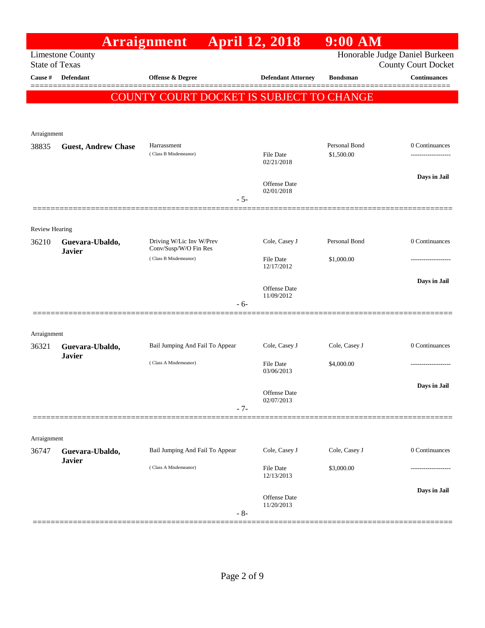|                                  |                                  | <b>Arraignment</b>                                | <b>April 12, 2018</b>             | $9:00$ AM       |                                                   |
|----------------------------------|----------------------------------|---------------------------------------------------|-----------------------------------|-----------------|---------------------------------------------------|
|                                  | <b>Limestone County</b>          |                                                   |                                   |                 | Honorable Judge Daniel Burkeen                    |
| <b>State of Texas</b><br>Cause # | <b>Defendant</b>                 | <b>Offense &amp; Degree</b>                       | <b>Defendant Attorney</b>         | <b>Bondsman</b> | <b>County Court Docket</b><br><b>Continuances</b> |
|                                  |                                  |                                                   |                                   |                 |                                                   |
|                                  |                                  | COUNTY COURT DOCKET IS SUBJECT TO CHANGE          |                                   |                 |                                                   |
|                                  |                                  |                                                   |                                   |                 |                                                   |
| Arraignment                      |                                  |                                                   |                                   |                 |                                                   |
| 38835                            | <b>Guest, Andrew Chase</b>       | Harrassment                                       |                                   | Personal Bond   | 0 Continuances                                    |
|                                  |                                  | (Class B Misdemeanor)                             | <b>File Date</b><br>02/21/2018    | \$1,500.00      |                                                   |
|                                  |                                  |                                                   |                                   |                 | Days in Jail                                      |
|                                  |                                  |                                                   | Offense Date<br>02/01/2018        |                 |                                                   |
|                                  |                                  | $-5-$                                             |                                   |                 |                                                   |
|                                  |                                  |                                                   |                                   |                 |                                                   |
| <b>Review Hearing</b>            |                                  |                                                   |                                   |                 |                                                   |
| 36210                            | Guevara-Ubaldo,<br><b>Javier</b> | Driving W/Lic Inv W/Prev<br>Conv/Susp/W/O Fin Res | Cole, Casey J                     | Personal Bond   | 0 Continuances                                    |
|                                  |                                  | (Class B Misdemeanor)                             | <b>File Date</b><br>12/17/2012    | \$1,000.00      |                                                   |
|                                  |                                  |                                                   |                                   |                 | Days in Jail                                      |
|                                  |                                  |                                                   | <b>Offense Date</b><br>11/09/2012 |                 |                                                   |
|                                  |                                  | $-6-$                                             |                                   |                 |                                                   |
|                                  |                                  |                                                   |                                   |                 |                                                   |
| Arraignment                      |                                  |                                                   |                                   |                 |                                                   |
| 36321                            | Guevara-Ubaldo,<br><b>Javier</b> | Bail Jumping And Fail To Appear                   | Cole, Casey J                     | Cole, Casey J   | 0 Continuances                                    |
|                                  |                                  | (Class A Misdemeanor)                             | <b>File Date</b><br>03/06/2013    | \$4,000.00      |                                                   |
|                                  |                                  |                                                   |                                   |                 | Days in Jail                                      |
|                                  |                                  |                                                   | Offense Date<br>02/07/2013        |                 |                                                   |
|                                  |                                  | $-7-$                                             |                                   |                 |                                                   |
|                                  |                                  |                                                   |                                   |                 |                                                   |
| Arraignment                      |                                  |                                                   |                                   |                 |                                                   |
| 36747                            | Guevara-Ubaldo,<br><b>Javier</b> | Bail Jumping And Fail To Appear                   | Cole, Casey J                     | Cole, Casey J   | 0 Continuances                                    |
|                                  |                                  | (Class A Misdemeanor)                             | <b>File Date</b><br>12/13/2013    | \$3,000.00      |                                                   |
|                                  |                                  |                                                   |                                   |                 |                                                   |
|                                  |                                  |                                                   | <b>Offense Date</b><br>11/20/2013 |                 | Days in Jail                                      |
|                                  |                                  | $-8-$                                             |                                   |                 |                                                   |
|                                  |                                  |                                                   |                                   |                 |                                                   |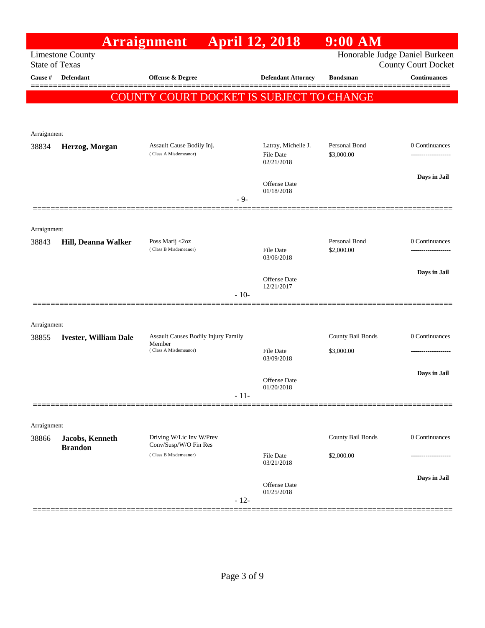|                       |                              | Arraignment                                       | <b>April 12, 2018</b>          | $9:00$ AM                      |                                                   |
|-----------------------|------------------------------|---------------------------------------------------|--------------------------------|--------------------------------|---------------------------------------------------|
| <b>State of Texas</b> | <b>Limestone County</b>      |                                                   |                                | Honorable Judge Daniel Burkeen |                                                   |
| Cause #               | <b>Defendant</b>             | <b>Offense &amp; Degree</b>                       | <b>Defendant Attorney</b>      | <b>Bondsman</b>                | <b>County Court Docket</b><br><b>Continuances</b> |
|                       |                              |                                                   |                                |                                |                                                   |
|                       |                              | COUNTY COURT DOCKET IS SUBJECT TO CHANGE          |                                |                                |                                                   |
|                       |                              |                                                   |                                |                                |                                                   |
| Arraignment           |                              |                                                   |                                |                                |                                                   |
| 38834                 | Herzog, Morgan               | Assault Cause Bodily Inj.                         | Latray, Michelle J.            | Personal Bond                  | 0 Continuances                                    |
|                       |                              | (Class A Misdemeanor)                             | <b>File Date</b><br>02/21/2018 | \$3,000.00                     | -------------------                               |
|                       |                              |                                                   |                                |                                | Days in Jail                                      |
|                       |                              |                                                   | Offense Date<br>01/18/2018     |                                |                                                   |
|                       |                              | $-9-$                                             |                                |                                |                                                   |
|                       |                              |                                                   |                                |                                |                                                   |
| Arraignment           |                              |                                                   |                                | Personal Bond                  |                                                   |
| 38843                 | Hill, Deanna Walker          | Poss Marij <2oz<br>(Class B Misdemeanor)          | <b>File Date</b>               | \$2,000.00                     | 0 Continuances                                    |
|                       |                              |                                                   | 03/06/2018                     |                                |                                                   |
|                       |                              |                                                   | Offense Date                   |                                | Days in Jail                                      |
|                       |                              | $-10-$                                            | 12/21/2017                     |                                |                                                   |
|                       |                              |                                                   |                                |                                |                                                   |
| Arraignment           |                              |                                                   |                                |                                |                                                   |
| 38855                 | <b>Ivester, William Dale</b> | Assault Causes Bodily Injury Family<br>Member     |                                | County Bail Bonds              | 0 Continuances                                    |
|                       |                              | (Class A Misdemeanor)                             | <b>File Date</b><br>03/09/2018 | \$3,000.00                     | -------------------                               |
|                       |                              |                                                   |                                |                                | Days in Jail                                      |
|                       |                              |                                                   | Offense Date<br>01/20/2018     |                                |                                                   |
|                       |                              | $-11-$                                            |                                |                                |                                                   |
|                       |                              |                                                   |                                |                                |                                                   |
| Arraignment           |                              |                                                   |                                |                                |                                                   |
| 38866                 | Jacobs, Kenneth              | Driving W/Lic Inv W/Prev<br>Conv/Susp/W/O Fin Res |                                | County Bail Bonds              | 0 Continuances                                    |
|                       | <b>Brandon</b>               | (Class B Misdemeanor)                             | <b>File Date</b>               | \$2,000.00                     | -------------------                               |
|                       |                              |                                                   | 03/21/2018                     |                                |                                                   |
|                       |                              |                                                   | <b>Offense Date</b>            |                                | Days in Jail                                      |
|                       |                              | $-12-$                                            | 01/25/2018                     |                                |                                                   |
|                       |                              |                                                   |                                |                                |                                                   |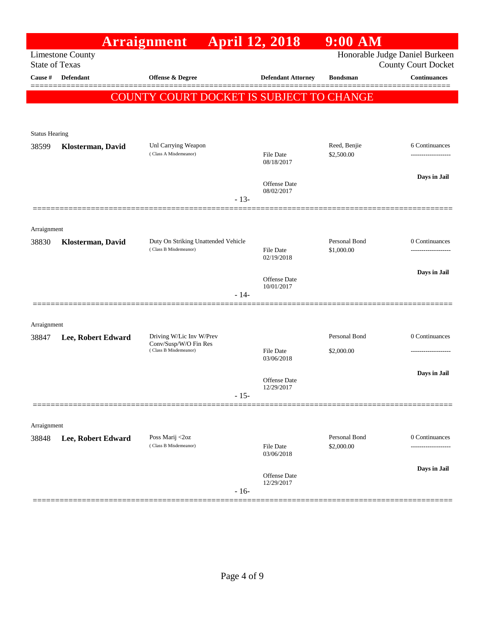|                       |                         | Arraignment                                       | <b>April 12, 2018</b>                       | $9:00$ AM                   |                                                              |
|-----------------------|-------------------------|---------------------------------------------------|---------------------------------------------|-----------------------------|--------------------------------------------------------------|
| <b>State of Texas</b> | <b>Limestone County</b> |                                                   |                                             |                             | Honorable Judge Daniel Burkeen<br><b>County Court Docket</b> |
| Cause #               | Defendant               | <b>Offense &amp; Degree</b>                       | <b>Defendant Attorney</b>                   | <b>Bondsman</b>             | <b>Continuances</b>                                          |
|                       |                         | COUNTY COURT DOCKET IS SUBJECT TO CHANGE          |                                             |                             |                                                              |
|                       |                         |                                                   |                                             |                             |                                                              |
| <b>Status Hearing</b> |                         |                                                   |                                             |                             |                                                              |
| 38599                 | Klosterman, David       | Unl Carrying Weapon<br>(Class A Misdemeanor)      | File Date                                   | Reed, Benjie<br>\$2,500.00  | 6 Continuances<br>------------------                         |
|                       |                         |                                                   | 08/18/2017                                  |                             |                                                              |
|                       |                         |                                                   | <b>Offense Date</b>                         |                             | Days in Jail                                                 |
|                       |                         |                                                   | 08/02/2017<br>$-13-$                        |                             |                                                              |
|                       |                         |                                                   |                                             |                             |                                                              |
| Arraignment<br>38830  | Klosterman, David       | Duty On Striking Unattended Vehicle               |                                             | Personal Bond               | 0 Continuances                                               |
|                       |                         | (Class B Misdemeanor)                             | File Date<br>02/19/2018                     | \$1,000.00                  | ------------------                                           |
|                       |                         |                                                   |                                             |                             | Days in Jail                                                 |
|                       |                         |                                                   | <b>Offense Date</b><br>10/01/2017<br>$-14-$ |                             |                                                              |
|                       |                         |                                                   |                                             |                             |                                                              |
| Arraignment           |                         |                                                   |                                             |                             |                                                              |
| 38847                 | Lee, Robert Edward      | Driving W/Lic Inv W/Prev<br>Conv/Susp/W/O Fin Res |                                             | Personal Bond               | 0 Continuances                                               |
|                       |                         | (Class B Misdemeanor)                             | <b>File Date</b><br>03/06/2018              | \$2,000.00                  | -------------------                                          |
|                       |                         |                                                   | Offense Date                                |                             | Days in Jail                                                 |
|                       |                         |                                                   | 12/29/2017<br>$-15-$                        |                             |                                                              |
|                       |                         |                                                   |                                             |                             |                                                              |
| Arraignment           |                         |                                                   |                                             |                             |                                                              |
| 38848                 | Lee, Robert Edward      | Poss Marij <2oz<br>(Class B Misdemeanor)          | File Date                                   | Personal Bond<br>\$2,000.00 | 0 Continuances<br>-------------                              |
|                       |                         |                                                   | 03/06/2018                                  |                             |                                                              |
|                       |                         |                                                   | Offense Date<br>12/29/2017                  |                             | Days in Jail                                                 |
|                       |                         |                                                   | $-16-$                                      |                             |                                                              |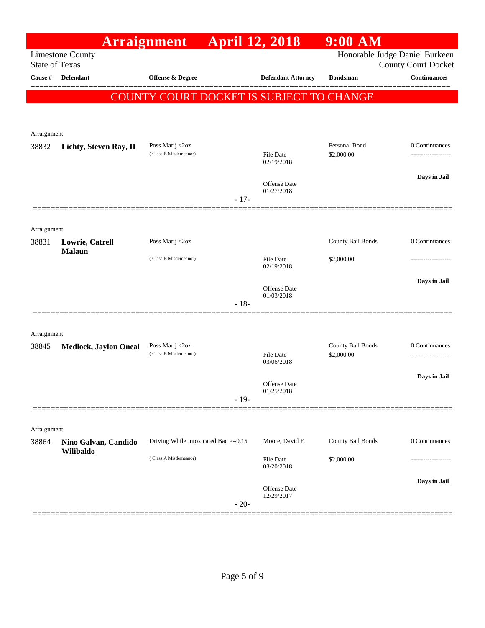|                       |                              | Arraignment                              | <b>April 12, 2018</b> |                                          | $9:00$ AM                   |                                                              |
|-----------------------|------------------------------|------------------------------------------|-----------------------|------------------------------------------|-----------------------------|--------------------------------------------------------------|
| <b>State of Texas</b> | <b>Limestone County</b>      |                                          |                       |                                          |                             | Honorable Judge Daniel Burkeen<br><b>County Court Docket</b> |
| Cause #               | Defendant                    | Offense & Degree                         |                       | <b>Defendant Attorney</b>                | <b>Bondsman</b>             | <b>Continuances</b>                                          |
|                       |                              |                                          |                       |                                          |                             | =======                                                      |
|                       |                              |                                          |                       | COUNTY COURT DOCKET IS SUBJECT TO CHANGE |                             |                                                              |
|                       |                              |                                          |                       |                                          |                             |                                                              |
| Arraignment           |                              |                                          |                       |                                          |                             |                                                              |
| 38832                 | Lichty, Steven Ray, II       | Poss Marij <2oz<br>(Class B Misdemeanor) |                       | <b>File Date</b>                         | Personal Bond<br>\$2,000.00 | 0 Continuances                                               |
|                       |                              |                                          |                       | 02/19/2018                               |                             |                                                              |
|                       |                              |                                          |                       | Offense Date                             |                             | Days in Jail                                                 |
|                       |                              |                                          | $-17-$                | 01/27/2018                               |                             |                                                              |
|                       |                              |                                          |                       |                                          |                             |                                                              |
| Arraignment           |                              |                                          |                       |                                          |                             |                                                              |
| 38831                 | Lowrie, Catrell              | Poss Marij <2oz                          |                       |                                          | County Bail Bonds           | 0 Continuances                                               |
|                       | <b>Malaun</b>                | (Class B Misdemeanor)                    |                       | <b>File Date</b>                         | \$2,000.00                  | ----------------                                             |
|                       |                              |                                          |                       | 02/19/2018                               |                             |                                                              |
|                       |                              |                                          |                       | <b>Offense Date</b>                      |                             | Days in Jail                                                 |
|                       |                              |                                          | $-18-$                | 01/03/2018                               |                             |                                                              |
|                       |                              |                                          |                       |                                          |                             |                                                              |
| Arraignment           |                              |                                          |                       |                                          |                             |                                                              |
| 38845                 | <b>Medlock, Jaylon Oneal</b> | Poss Marij <2oz                          |                       |                                          | County Bail Bonds           | 0 Continuances                                               |
|                       |                              | (Class B Misdemeanor)                    |                       | <b>File Date</b><br>03/06/2018           | \$2,000.00                  |                                                              |
|                       |                              |                                          |                       |                                          |                             | Days in Jail                                                 |
|                       |                              |                                          |                       | <b>Offense Date</b><br>01/25/2018        |                             |                                                              |
|                       |                              |                                          | $-19-$                |                                          |                             |                                                              |
|                       |                              |                                          |                       |                                          |                             |                                                              |
| Arraignment<br>38864  | Nino Galvan, Candido         | Driving While Intoxicated Bac >=0.15     |                       | Moore, David E.                          | County Bail Bonds           | 0 Continuances                                               |
|                       | Wilibaldo                    |                                          |                       |                                          |                             |                                                              |
|                       |                              | (Class A Misdemeanor)                    |                       | <b>File Date</b><br>03/20/2018           | \$2,000.00                  |                                                              |
|                       |                              |                                          |                       |                                          |                             | Days in Jail                                                 |
|                       |                              |                                          |                       | Offense Date<br>12/29/2017               |                             |                                                              |
|                       |                              |                                          | $-20-$                |                                          |                             |                                                              |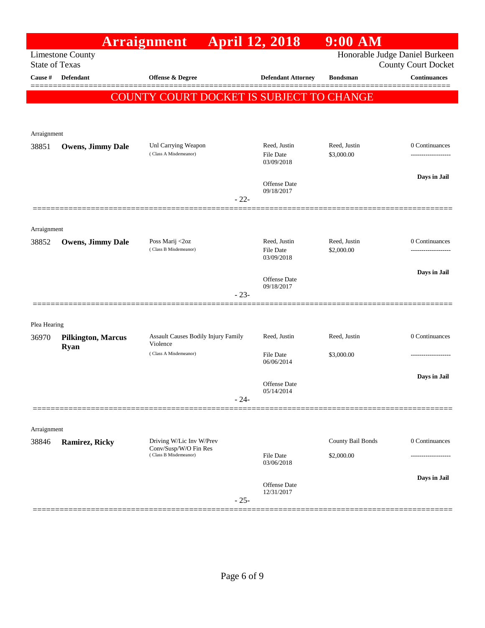|                       |                                          | <b>Arraignment</b>                              | <b>April 12, 2018</b>                          | $9:00$ AM                  |                                                              |
|-----------------------|------------------------------------------|-------------------------------------------------|------------------------------------------------|----------------------------|--------------------------------------------------------------|
| <b>State of Texas</b> | <b>Limestone County</b>                  |                                                 |                                                |                            | Honorable Judge Daniel Burkeen<br><b>County Court Docket</b> |
| Cause #               | Defendant                                | <b>Offense &amp; Degree</b>                     | <b>Defendant Attorney</b>                      | <b>Bondsman</b>            | <b>Continuances</b>                                          |
|                       |                                          | COUNTY COURT DOCKET IS SUBJECT TO CHANGE        |                                                |                            |                                                              |
|                       |                                          |                                                 |                                                |                            |                                                              |
| Arraignment           |                                          |                                                 |                                                |                            |                                                              |
| 38851                 | <b>Owens, Jimmy Dale</b>                 | Unl Carrying Weapon<br>(Class A Misdemeanor)    | Reed, Justin<br><b>File Date</b><br>03/09/2018 | Reed, Justin<br>\$3,000.00 | 0 Continuances                                               |
|                       |                                          |                                                 |                                                |                            | Days in Jail                                                 |
|                       |                                          | $-22-$                                          | <b>Offense Date</b><br>09/18/2017              |                            |                                                              |
|                       |                                          |                                                 |                                                |                            |                                                              |
| Arraignment           |                                          |                                                 |                                                |                            |                                                              |
| 38852                 | <b>Owens, Jimmy Dale</b>                 | Poss Marij <2oz<br>(Class B Misdemeanor)        | Reed, Justin<br>File Date                      | Reed, Justin<br>\$2,000.00 | 0 Continuances<br>------------------                         |
|                       |                                          |                                                 | 03/09/2018                                     |                            |                                                              |
|                       |                                          |                                                 | <b>Offense Date</b>                            |                            | Days in Jail                                                 |
|                       |                                          | $-23-$                                          | 09/18/2017                                     |                            |                                                              |
|                       |                                          |                                                 |                                                |                            |                                                              |
| Plea Hearing          |                                          |                                                 |                                                |                            |                                                              |
| 36970                 | <b>Pilkington, Marcus</b><br><b>Ryan</b> | Assault Causes Bodily Injury Family<br>Violence | Reed, Justin                                   | Reed, Justin               | 0 Continuances                                               |
|                       |                                          | (Class A Misdemeanor)                           | <b>File Date</b><br>06/06/2014                 | \$3,000.00                 |                                                              |
|                       |                                          |                                                 | <b>Offense Date</b>                            |                            | Days in Jail                                                 |
|                       |                                          | $-24-$                                          | 05/14/2014                                     |                            |                                                              |
|                       |                                          |                                                 |                                                |                            |                                                              |
| Arraignment           |                                          |                                                 |                                                |                            |                                                              |
| 38846                 | Ramirez, Ricky                           | Driving W/Lic Inv W/Prev                        |                                                | County Bail Bonds          | 0 Continuances                                               |
|                       |                                          | Conv/Susp/W/O Fin Res<br>(Class B Misdemeanor)  | <b>File Date</b><br>03/06/2018                 | \$2,000.00                 |                                                              |
|                       |                                          |                                                 | Offense Date                                   |                            | Days in Jail                                                 |
|                       |                                          | $-25-$                                          | 12/31/2017                                     |                            |                                                              |
|                       |                                          |                                                 |                                                |                            |                                                              |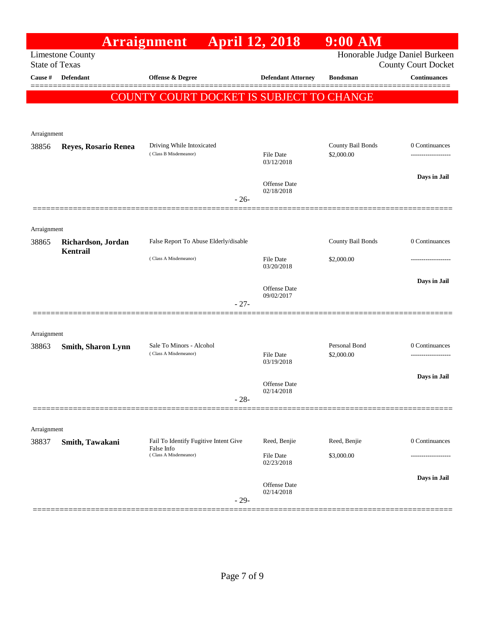|                       |                                | <b>Arraignment</b> April 12, 2018                   |                                   | $9:00$ AM                       |                                                              |
|-----------------------|--------------------------------|-----------------------------------------------------|-----------------------------------|---------------------------------|--------------------------------------------------------------|
| <b>State of Texas</b> | <b>Limestone County</b>        |                                                     |                                   |                                 | Honorable Judge Daniel Burkeen<br><b>County Court Docket</b> |
| Cause #               | <b>Defendant</b>               | Offense & Degree                                    | <b>Defendant Attorney</b>         | <b>Bondsman</b>                 | <b>Continuances</b>                                          |
|                       |                                | <b>COUNTY COURT DOCKET IS SUBJECT TO CHANGE</b>     |                                   |                                 |                                                              |
| Arraignment           |                                |                                                     |                                   |                                 |                                                              |
| 38856                 | Reyes, Rosario Renea           | Driving While Intoxicated<br>(Class B Misdemeanor)  | File Date<br>03/12/2018           | County Bail Bonds<br>\$2,000.00 | 0 Continuances                                               |
|                       |                                | $-26-$                                              | <b>Offense Date</b><br>02/18/2018 |                                 | Days in Jail                                                 |
|                       |                                |                                                     |                                   |                                 |                                                              |
| Arraignment           |                                | False Report To Abuse Elderly/disable               |                                   | County Bail Bonds               | 0 Continuances                                               |
| 38865                 | Richardson, Jordan<br>Kentrail |                                                     |                                   |                                 |                                                              |
|                       |                                | (Class A Misdemeanor)                               | <b>File Date</b><br>03/20/2018    | \$2,000.00                      |                                                              |
|                       |                                |                                                     | <b>Offense Date</b><br>09/02/2017 |                                 | Days in Jail                                                 |
|                       |                                | $-27-$                                              |                                   |                                 |                                                              |
| Arraignment           |                                |                                                     |                                   |                                 |                                                              |
| 38863                 | <b>Smith, Sharon Lynn</b>      | Sale To Minors - Alcohol<br>(Class A Misdemeanor)   | File Date<br>03/19/2018           | Personal Bond<br>\$2,000.00     | 0 Continuances                                               |
|                       |                                | $-28-$                                              | <b>Offense Date</b><br>02/14/2018 |                                 | Days in Jail                                                 |
|                       |                                |                                                     |                                   |                                 |                                                              |
| Arraignment           |                                |                                                     |                                   |                                 |                                                              |
| 38837                 | Smith, Tawakani                | Fail To Identify Fugitive Intent Give<br>False Info | Reed, Benjie                      | Reed, Benjie                    | 0 Continuances                                               |
|                       |                                | (Class A Misdemeanor)                               | File Date<br>02/23/2018           | \$3,000.00                      |                                                              |
|                       |                                | $-29-$                                              | Offense Date<br>02/14/2018        |                                 | Days in Jail                                                 |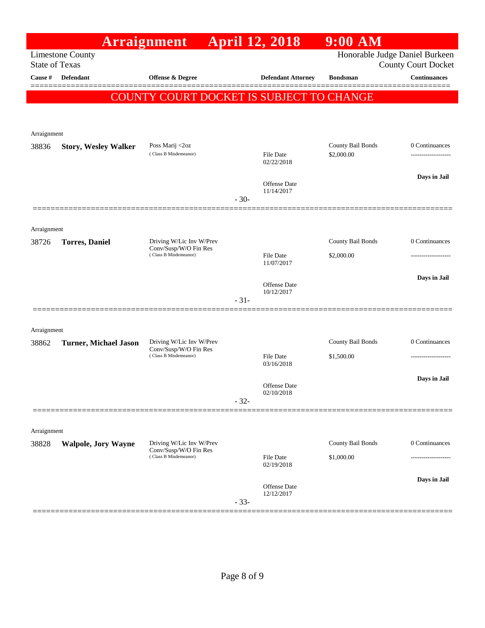|                       |                              | Arraignment                                       |        | <b>April 12, 2018</b>          | $9:00$ AM         |                                                   |
|-----------------------|------------------------------|---------------------------------------------------|--------|--------------------------------|-------------------|---------------------------------------------------|
| <b>State of Texas</b> | <b>Limestone County</b>      |                                                   |        |                                |                   | Honorable Judge Daniel Burkeen                    |
| Cause #               | <b>Defendant</b>             | <b>Offense &amp; Degree</b>                       |        | <b>Defendant Attorney</b>      | <b>Bondsman</b>   | <b>County Court Docket</b><br><b>Continuances</b> |
|                       |                              |                                                   |        |                                |                   |                                                   |
|                       |                              | COUNTY COURT DOCKET IS SUBJECT TO CHANGE          |        |                                |                   |                                                   |
|                       |                              |                                                   |        |                                |                   |                                                   |
| Arraignment           |                              |                                                   |        |                                |                   |                                                   |
| 38836                 | <b>Story, Wesley Walker</b>  | Poss Marij <2oz<br>(Class B Misdemeanor)          |        |                                | County Bail Bonds | 0 Continuances                                    |
|                       |                              |                                                   |        | <b>File Date</b><br>02/22/2018 | \$2,000.00        | ------------------                                |
|                       |                              |                                                   |        | Offense Date                   |                   | Days in Jail                                      |
|                       |                              |                                                   |        | 11/14/2017                     |                   |                                                   |
|                       |                              |                                                   | $-30-$ |                                |                   |                                                   |
| Arraignment           |                              |                                                   |        |                                |                   |                                                   |
| 38726                 | <b>Torres</b> , Daniel       | Driving W/Lic Inv W/Prev                          |        |                                | County Bail Bonds | 0 Continuances                                    |
|                       |                              | Conv/Susp/W/O Fin Res<br>(Class B Misdemeanor)    |        | <b>File Date</b>               | \$2,000.00        |                                                   |
|                       |                              |                                                   |        | 11/07/2017                     |                   |                                                   |
|                       |                              |                                                   |        | Offense Date                   |                   | Days in Jail                                      |
|                       |                              |                                                   | $-31-$ | 10/12/2017                     |                   |                                                   |
|                       |                              |                                                   |        |                                |                   |                                                   |
| Arraignment           |                              |                                                   |        |                                |                   |                                                   |
| 38862                 | <b>Turner, Michael Jason</b> | Driving W/Lic Inv W/Prev<br>Conv/Susp/W/O Fin Res |        |                                | County Bail Bonds | 0 Continuances                                    |
|                       |                              | (Class B Misdemeanor)                             |        | <b>File Date</b><br>03/16/2018 | \$1,500.00        | .                                                 |
|                       |                              |                                                   |        |                                |                   | Days in Jail                                      |
|                       |                              |                                                   |        | Offense Date<br>02/10/2018     |                   |                                                   |
|                       |                              |                                                   | $-32-$ |                                |                   |                                                   |
|                       |                              |                                                   |        |                                |                   |                                                   |
| Arraignment           |                              |                                                   |        |                                |                   |                                                   |
| 38828                 | <b>Walpole, Jory Wayne</b>   | Driving W/Lic Inv W/Prev<br>Conv/Susp/W/O Fin Res |        |                                | County Bail Bonds | 0 Continuances                                    |
|                       |                              | (Class B Misdemeanor)                             |        | <b>File Date</b><br>02/19/2018 | \$1,000.00        |                                                   |
|                       |                              |                                                   |        |                                |                   | Days in Jail                                      |
|                       |                              |                                                   |        | Offense Date<br>12/12/2017     |                   |                                                   |
|                       |                              |                                                   | $-33-$ |                                |                   |                                                   |